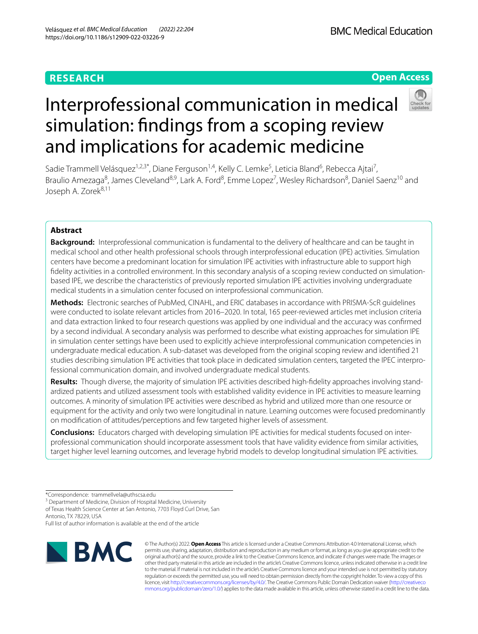# **RESEARCH**

# **Open Access**

# Interprofessional communication in medical simulation: fndings from a scoping review and implications for academic medicine

Sadie Trammell Velásquez<sup>1,2,3\*</sup>, Diane Ferguson<sup>1,4</sup>, Kelly C. Lemke<sup>5</sup>, Leticia Bland<sup>6</sup>, Rebecca Ajtai<sup>7</sup>, Braulio Amezaga<sup>8</sup>, James Cleveland<sup>8,9</sup>, Lark A. Ford<sup>8</sup>, Emme Lopez<sup>7</sup>, Wesley Richardson<sup>8</sup>, Daniel Saenz<sup>10</sup> and Joseph A. Zorek<sup>8,11</sup>

# **Abstract**

**Background:** Interprofessional communication is fundamental to the delivery of healthcare and can be taught in medical school and other health professional schools through interprofessional education (IPE) activities. Simulation centers have become a predominant location for simulation IPE activities with infrastructure able to support high fdelity activities in a controlled environment. In this secondary analysis of a scoping review conducted on simulationbased IPE, we describe the characteristics of previously reported simulation IPE activities involving undergraduate medical students in a simulation center focused on interprofessional communication.

**Methods:** Electronic searches of PubMed, CINAHL, and ERIC databases in accordance with PRISMA-ScR guidelines were conducted to isolate relevant articles from 2016–2020. In total, 165 peer-reviewed articles met inclusion criteria and data extraction linked to four research questions was applied by one individual and the accuracy was confrmed by a second individual. A secondary analysis was performed to describe what existing approaches for simulation IPE in simulation center settings have been used to explicitly achieve interprofessional communication competencies in undergraduate medical education. A sub-dataset was developed from the original scoping review and identifed 21 studies describing simulation IPE activities that took place in dedicated simulation centers, targeted the IPEC interprofessional communication domain, and involved undergraduate medical students.

**Results:** Though diverse, the majority of simulation IPE activities described high-fdelity approaches involving standardized patients and utilized assessment tools with established validity evidence in IPE activities to measure learning outcomes. A minority of simulation IPE activities were described as hybrid and utilized more than one resource or equipment for the activity and only two were longitudinal in nature. Learning outcomes were focused predominantly on modifcation of attitudes/perceptions and few targeted higher levels of assessment.

**Conclusions:** Educators charged with developing simulation IPE activities for medical students focused on interprofessional communication should incorporate assessment tools that have validity evidence from similar activities, target higher level learning outcomes, and leverage hybrid models to develop longitudinal simulation IPE activities.

<sup>3</sup> Department of Medicine, Division of Hospital Medicine, University

of Texas Health Science Center at San Antonio, 7703 Floyd Curl Drive, San Antonio, TX 78229, USA

Full list of author information is available at the end of the article



© The Author(s) 2022. **Open Access** This article is licensed under a Creative Commons Attribution 4.0 International License, which permits use, sharing, adaptation, distribution and reproduction in any medium or format, as long as you give appropriate credit to the original author(s) and the source, provide a link to the Creative Commons licence, and indicate if changes were made. The images or other third party material in this article are included in the article's Creative Commons licence, unless indicated otherwise in a credit line to the material. If material is not included in the article's Creative Commons licence and your intended use is not permitted by statutory regulation or exceeds the permitted use, you will need to obtain permission directly from the copyright holder. To view a copy of this licence, visit [http://creativecommons.org/licenses/by/4.0/.](http://creativecommons.org/licenses/by/4.0/) The Creative Commons Public Domain Dedication waiver ([http://creativeco](http://creativecommons.org/publicdomain/zero/1.0/) [mmons.org/publicdomain/zero/1.0/](http://creativecommons.org/publicdomain/zero/1.0/)) applies to the data made available in this article, unless otherwise stated in a credit line to the data.

<sup>\*</sup>Correspondence: trammellvela@uthscsa.edu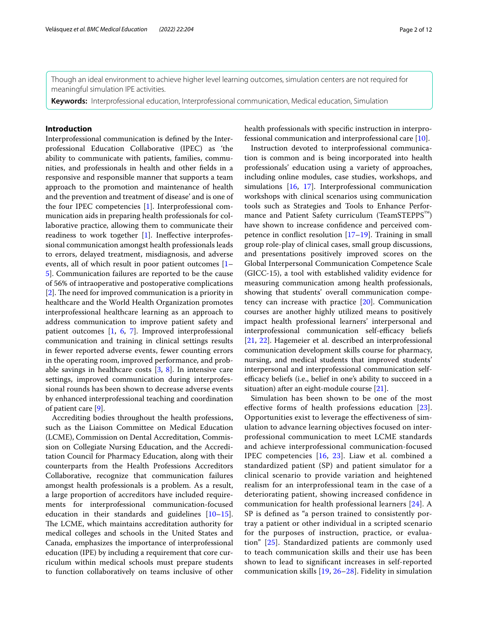Though an ideal environment to achieve higher level learning outcomes, simulation centers are not required for meaningful simulation IPE activities.

**Keywords:** Interprofessional education, Interprofessional communication, Medical education, Simulation

### **Introduction**

Interprofessional communication is defned by the Interprofessional Education Collaborative (IPEC) as 'the ability to communicate with patients, families, communities, and professionals in health and other felds in a responsive and responsible manner that supports a team approach to the promotion and maintenance of health and the prevention and treatment of disease' and is one of the four IPEC competencies [\[1\]](#page-9-0). Interprofessional communication aids in preparing health professionals for collaborative practice, allowing them to communicate their readiness to work together [[1\]](#page-9-0). Inefective interprofessional communication amongst health professionals leads to errors, delayed treatment, misdiagnosis, and adverse events, all of which result in poor patient outcomes [[1–](#page-9-0) [5\]](#page-9-1). Communication failures are reported to be the cause of 56% of intraoperative and postoperative complications  $[2]$  $[2]$ . The need for improved communication is a priority in healthcare and the World Health Organization promotes interprofessional healthcare learning as an approach to address communication to improve patient safety and patient outcomes [[1,](#page-9-0) [6,](#page-9-3) [7\]](#page-10-0). Improved interprofessional communication and training in clinical settings results in fewer reported adverse events, fewer counting errors in the operating room, improved performance, and probable savings in healthcare costs [[3,](#page-9-4) [8\]](#page-10-1). In intensive care settings, improved communication during interprofessional rounds has been shown to decrease adverse events by enhanced interprofessional teaching and coordination of patient care [[9\]](#page-10-2).

Accrediting bodies throughout the health professions, such as the Liaison Committee on Medical Education (LCME), Commission on Dental Accreditation, Commission on Collegiate Nursing Education, and the Accreditation Council for Pharmacy Education, along with their counterparts from the Health Professions Accreditors Collaborative, recognize that communication failures amongst health professionals is a problem. As a result, a large proportion of accreditors have included requirements for interprofessional communication-focused education in their standards and guidelines  $[10-15]$  $[10-15]$  $[10-15]$ . The LCME, which maintains accreditation authority for medical colleges and schools in the United States and Canada, emphasizes the importance of interprofessional education (IPE) by including a requirement that core curriculum within medical schools must prepare students to function collaboratively on teams inclusive of other health professionals with specifc instruction in interprofessional communication and interprofessional care [[10](#page-10-3)].

Instruction devoted to interprofessional communication is common and is being incorporated into health professionals' education using a variety of approaches, including online modules, case studies, workshops, and simulations [[16](#page-10-5), [17\]](#page-10-6). Interprofessional communication workshops with clinical scenarios using communication tools such as Strategies and Tools to Enhance Performance and Patient Safety curriculum (TeamSTEPPS<sup>™</sup>) have shown to increase confdence and perceived competence in confict resolution [\[17–](#page-10-6)[19\]](#page-10-7). Training in small group role-play of clinical cases, small group discussions, and presentations positively improved scores on the Global Interpersonal Communication Competence Scale (GICC-15), a tool with established validity evidence for measuring communication among health professionals, showing that students' overall communication competency can increase with practice [[20\]](#page-10-8). Communication courses are another highly utilized means to positively impact health professional learners' interpersonal and interprofessional communication self-efficacy beliefs [[21,](#page-10-9) [22](#page-10-10)]. Hagemeier et al. described an interprofessional communication development skills course for pharmacy, nursing, and medical students that improved students' interpersonal and interprofessional communication selfefficacy beliefs (i.e., belief in one's ability to succeed in a situation) after an eight-module course [[21\]](#page-10-9).

Simulation has been shown to be one of the most efective forms of health professions education [[23](#page-10-11)]. Opportunities exist to leverage the efectiveness of simulation to advance learning objectives focused on interprofessional communication to meet LCME standards and achieve interprofessional communication-focused IPEC competencies [\[16](#page-10-5), [23\]](#page-10-11). Liaw et al. combined a standardized patient (SP) and patient simulator for a clinical scenario to provide variation and heightened realism for an interprofessional team in the case of a deteriorating patient, showing increased confdence in communication for health professional learners [[24\]](#page-10-12). A SP is defned as "a person trained to consistently portray a patient or other individual in a scripted scenario for the purposes of instruction, practice, or evaluation" [[25](#page-10-13)]. Standardized patients are commonly used to teach communication skills and their use has been shown to lead to signifcant increases in self-reported communication skills [\[19](#page-10-7), [26](#page-10-14)[–28\]](#page-10-15). Fidelity in simulation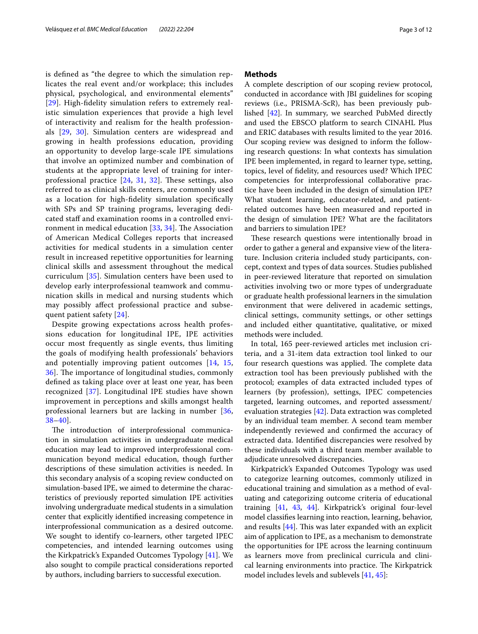is defned as "the degree to which the simulation replicates the real event and/or workplace; this includes physical, psychological, and environmental elements" [[29](#page-10-16)]. High-fdelity simulation refers to extremely realistic simulation experiences that provide a high level of interactivity and realism for the health professionals [[29,](#page-10-16) [30\]](#page-10-17). Simulation centers are widespread and growing in health professions education, providing an opportunity to develop large-scale IPE simulations that involve an optimized number and combination of students at the appropriate level of training for interprofessional practice  $[24, 31, 32]$  $[24, 31, 32]$  $[24, 31, 32]$  $[24, 31, 32]$  $[24, 31, 32]$  $[24, 31, 32]$  $[24, 31, 32]$ . These settings, also referred to as clinical skills centers, are commonly used as a location for high-fdelity simulation specifcally with SPs and SP training programs, leveraging dedicated staff and examination rooms in a controlled environment in medical education  $[33, 34]$  $[33, 34]$  $[33, 34]$  $[33, 34]$ . The Association of American Medical Colleges reports that increased activities for medical students in a simulation center result in increased repetitive opportunities for learning clinical skills and assessment throughout the medical curriculum [[35\]](#page-10-22). Simulation centers have been used to develop early interprofessional teamwork and communication skills in medical and nursing students which may possibly afect professional practice and subsequent patient safety [\[24\]](#page-10-12).

Despite growing expectations across health professions education for longitudinal IPE, IPE activities occur most frequently as single events, thus limiting the goals of modifying health professionals' behaviors and potentially improving patient outcomes [[14,](#page-10-23) [15](#page-10-4), [36\]](#page-10-24). The importance of longitudinal studies, commonly defned as taking place over at least one year, has been recognized [\[37](#page-10-25)]. Longitudinal IPE studies have shown improvement in perceptions and skills amongst health professional learners but are lacking in number [\[36](#page-10-24), [38–](#page-10-26)[40\]](#page-10-27).

The introduction of interprofessional communication in simulation activities in undergraduate medical education may lead to improved interprofessional communication beyond medical education, though further descriptions of these simulation activities is needed. In this secondary analysis of a scoping review conducted on simulation-based IPE, we aimed to determine the characteristics of previously reported simulation IPE activities involving undergraduate medical students in a simulation center that explicitly identifed increasing competence in interprofessional communication as a desired outcome. We sought to identify co-learners, other targeted IPEC competencies, and intended learning outcomes using the Kirkpatrick's Expanded Outcomes Typology [[41\]](#page-10-28). We also sought to compile practical considerations reported by authors, including barriers to successful execution.

#### **Methods**

A complete description of our scoping review protocol, conducted in accordance with JBI guidelines for scoping reviews (i.e., PRISMA-ScR), has been previously published [\[42](#page-10-29)]. In summary, we searched PubMed directly and used the EBSCO platform to search CINAHL Plus and ERIC databases with results limited to the year 2016. Our scoping review was designed to inform the following research questions: In what contexts has simulation IPE been implemented, in regard to learner type, setting, topics, level of fdelity, and resources used? Which IPEC competencies for interprofessional collaborative practice have been included in the design of simulation IPE? What student learning, educator-related, and patientrelated outcomes have been measured and reported in the design of simulation IPE? What are the facilitators and barriers to simulation IPE?

These research questions were intentionally broad in order to gather a general and expansive view of the literature. Inclusion criteria included study participants, concept, context and types of data sources. Studies published in peer-reviewed literature that reported on simulation activities involving two or more types of undergraduate or graduate health professional learners in the simulation environment that were delivered in academic settings, clinical settings, community settings, or other settings and included either quantitative, qualitative, or mixed methods were included.

In total, 165 peer-reviewed articles met inclusion criteria, and a 31-item data extraction tool linked to our four research questions was applied. The complete data extraction tool has been previously published with the protocol; examples of data extracted included types of learners (by profession), settings, IPEC competencies targeted, learning outcomes, and reported assessment/ evaluation strategies [\[42\]](#page-10-29). Data extraction was completed by an individual team member. A second team member independently reviewed and confrmed the accuracy of extracted data. Identifed discrepancies were resolved by these individuals with a third team member available to adjudicate unresolved discrepancies.

Kirkpatrick's Expanded Outcomes Typology was used to categorize learning outcomes, commonly utilized in educational training and simulation as a method of evaluating and categorizing outcome criteria of educational training [\[41](#page-10-28), [43](#page-10-30), [44](#page-10-31)]. Kirkpatrick's original four-level model classifes learning into reaction, learning, behavior, and results  $[44]$  $[44]$  $[44]$ . This was later expanded with an explicit aim of application to IPE, as a mechanism to demonstrate the opportunities for IPE across the learning continuum as learners move from preclinical curricula and clinical learning environments into practice. The Kirkpatrick model includes levels and sublevels [[41,](#page-10-28) [45\]](#page-10-32):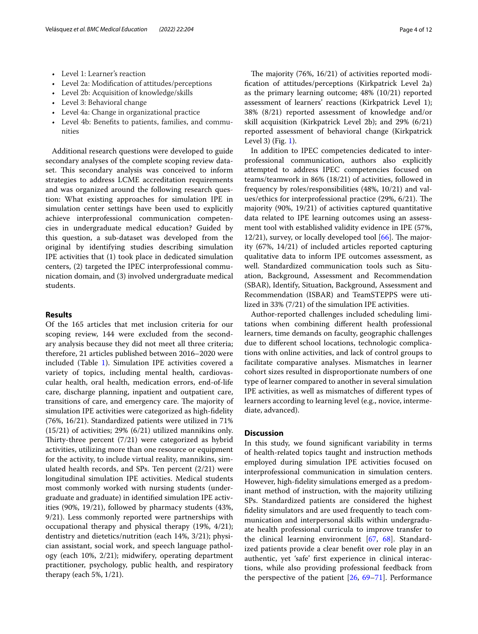- Level 1: Learner's reaction
- Level 2a: Modifcation of attitudes/perceptions
- Level 2b: Acquisition of knowledge/skills
- Level 3: Behavioral change
- Level 4a: Change in organizational practice
- Level 4b: Benefts to patients, families, and communities

Additional research questions were developed to guide secondary analyses of the complete scoping review dataset. This secondary analysis was conceived to inform strategies to address LCME accreditation requirements and was organized around the following research question: What existing approaches for simulation IPE in simulation center settings have been used to explicitly achieve interprofessional communication competencies in undergraduate medical education? Guided by this question, a sub-dataset was developed from the original by identifying studies describing simulation IPE activities that (1) took place in dedicated simulation centers, (2) targeted the IPEC interprofessional communication domain, and (3) involved undergraduate medical students.

#### **Results**

Of the 165 articles that met inclusion criteria for our scoping review, 144 were excluded from the secondary analysis because they did not meet all three criteria; therefore, 21 articles published between 2016–2020 were included (Table [1](#page-4-0)). Simulation IPE activities covered a variety of topics, including mental health, cardiovascular health, oral health, medication errors, end-of-life care, discharge planning, inpatient and outpatient care, transitions of care, and emergency care. The majority of simulation IPE activities were categorized as high-fdelity (76%, 16/21). Standardized patients were utilized in 71% (15/21) of activities; 29% (6/21) utilized mannikins only. Thirty-three percent  $(7/21)$  were categorized as hybrid activities, utilizing more than one resource or equipment for the activity, to include virtual reality, mannikins, simulated health records, and SPs. Ten percent (2/21) were longitudinal simulation IPE activities. Medical students most commonly worked with nursing students (undergraduate and graduate) in identifed simulation IPE activities (90%, 19/21), followed by pharmacy students (43%, 9/21). Less commonly reported were partnerships with occupational therapy and physical therapy (19%, 4/21); dentistry and dietetics/nutrition (each 14%, 3/21); physician assistant, social work, and speech language pathology (each 10%, 2/21); midwifery, operating department practitioner, psychology, public health, and respiratory therapy (each 5%, 1/21).

The majority  $(76\%, 16/21)$  of activities reported modifcation of attitudes/perceptions (Kirkpatrick Level 2a) as the primary learning outcome; 48% (10/21) reported assessment of learners' reactions (Kirkpatrick Level 1); 38% (8/21) reported assessment of knowledge and/or skill acquisition (Kirkpatrick Level 2b); and 29% (6/21) reported assessment of behavioral change (Kirkpatrick Level 3) (Fig. [1](#page-7-0)).

In addition to IPEC competencies dedicated to interprofessional communication, authors also explicitly attempted to address IPEC competencies focused on teams/teamwork in 86% (18/21) of activities, followed in frequency by roles/responsibilities (48%, 10/21) and values/ethics for interprofessional practice (29%, 6/21). The majority (90%, 19/21) of activities captured quantitative data related to IPE learning outcomes using an assessment tool with established validity evidence in IPE (57%,  $12/21$ ), survey, or locally developed tool  $[66]$ . The majority (67%, 14/21) of included articles reported capturing qualitative data to inform IPE outcomes assessment, as well. Standardized communication tools such as Situation, Background, Assessment and Recommendation (SBAR), Identify, Situation, Background, Assessment and Recommendation (ISBAR) and TeamSTEPPS were utilized in 33% (7/21) of the simulation IPE activities.

Author-reported challenges included scheduling limitations when combining diferent health professional learners, time demands on faculty, geographic challenges due to diferent school locations, technologic complications with online activities, and lack of control groups to facilitate comparative analyses. Mismatches in learner cohort sizes resulted in disproportionate numbers of one type of learner compared to another in several simulation IPE activities, as well as mismatches of diferent types of learners according to learning level (e.g., novice, intermediate, advanced).

#### **Discussion**

In this study, we found signifcant variability in terms of health-related topics taught and instruction methods employed during simulation IPE activities focused on interprofessional communication in simulation centers. However, high-fdelity simulations emerged as a predominant method of instruction, with the majority utilizing SPs. Standardized patients are considered the highest fdelity simulators and are used frequently to teach communication and interpersonal skills within undergraduate health professional curricula to improve transfer to the clinical learning environment [\[67](#page-11-1), [68\]](#page-11-2). Standardized patients provide a clear beneft over role play in an authentic, yet 'safe' frst experience in clinical interactions, while also providing professional feedback from the perspective of the patient [[26,](#page-10-14) [69](#page-11-3)[–71](#page-11-4)]. Performance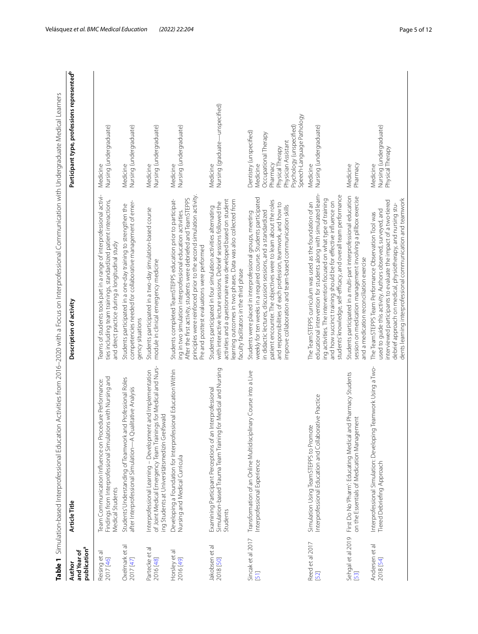<span id="page-4-0"></span>

| publication <sup>a</sup><br>and Year of<br>Table 1<br>Author | Simulation-based Interprofessional Education Activities from 2016–2020 with a Focus on Interprofessional Communication with Undergraduate Medical Learners<br>Article Title      | Description of activity                                                                                                                                                                                                                                                                                                                                                                         | Participant type, professions represented <sup>b</sup>                                                                                                                      |
|--------------------------------------------------------------|----------------------------------------------------------------------------------------------------------------------------------------------------------------------------------|-------------------------------------------------------------------------------------------------------------------------------------------------------------------------------------------------------------------------------------------------------------------------------------------------------------------------------------------------------------------------------------------------|-----------------------------------------------------------------------------------------------------------------------------------------------------------------------------|
| Reising et al<br>2017 [46]                                   | Findings from Interprofessional Simulations with Nursing and<br>edure Performance:<br>Team Communication Influence on Proc<br>Medical Students                                   | Teams of students took part in a range of interprofessional activi-<br>ties including team trainings, standardized patient interactions,<br>and direct practice during a longitudinal study                                                                                                                                                                                                     | Nursing (undergraduate)<br>Medicine                                                                                                                                         |
| Oxelmark et al<br>2017 [47]                                  | Students' Understanding of Teamwork and Professional Roles<br>after Interprofessional Simulation-A Qualitative Analysis                                                          | competencies needed for collaborative management of emer-<br>Students participated in a one-day training to strengthen the<br>gency situations                                                                                                                                                                                                                                                  | Medicine<br>Nursing (undergraduate)                                                                                                                                         |
| Partecke et al<br>2016 [48]                                  | of Joint Medical Emergency Team Trainings for Medical and Nurs-<br>Interprofessional Learning - Development and Implementation<br>ing Students at Universitätsmedizin Greifswald | Students participated in a two-day simulation-based course<br>module in clinical emergency medicine                                                                                                                                                                                                                                                                                             | Nursing (undergraduate)<br>Medicine                                                                                                                                         |
| Horsley et al<br>2016 [49]                                   | Developing a Foundation for Interprofessional Education Within<br>Nursing and Medical Curricula                                                                                  | principles were reinforced prior to the second simulation activity.<br>After the first activity, students were debriefed and TeamSTEPPS<br>Students completed TeamSTEPPS education prior to participat-<br>ing in two simulation interprofessional education activities.<br>Pre and posttest evaluations were performed                                                                         | Medicine<br>Nursing (undergraduate)                                                                                                                                         |
| Jakobsen et al<br>2018 [50]                                  | for Medical and Nursing<br>Examining Participant Perceptions of an Interprofessional<br>Simulation-based Trauma Team Training<br>Students                                        | learning outcomes in two phases. Data was also collected from<br>activities and a questionnaire was developed based on student<br>with interactive lecture sessions. Debrief sessions followed the<br>Students participated in four simulation activities alternating<br>faculty facilitators in the third phase                                                                                | Medicine<br>Nursing (graduate—unspecified)                                                                                                                                  |
| Sincak et al 2017<br>[51]                                    | Transformation of an Online Multidisciplinary Course into a Live<br>Interprofessional Experience                                                                                 | weekly for ten weeks in a required course. Students participated<br>patient encounter. The objectives were to learn about the roles<br>and responsibilities of each profession, teamwork, and how to<br>improve collaboration and team-based communication skills<br>in didactic lectures, discussion sessions, and a standardized<br>Students were placed in interprofessional groups, meeting | Speech-Language Pathology<br>Psychology (unspecified)<br>Dentistry (unspecified)<br>Occupational Therapy<br>Physician Assistant<br>Physical Therapy<br>Pharmacy<br>Medicine |
| Reed et al 2017<br>52                                        | Interprofessional Education and Collaborative Practice<br>Simulation Using TeamSTEPPS to Promote                                                                                 | educational intervention for students along with simulated learn-<br>students' knowledge, self-efficacy, and overall team performance<br>ing activities. The intervention focused on what type of training<br>and how succinct training should be for effective influence on<br>The TeamSTEPPS curriculum was used as the foundation of an                                                      | Nursing (undergraduate)<br>Medicine                                                                                                                                         |
| Sehgal et al 2019<br>[53]                                    | First Do No Pharm': Educating Medical and Pharmacy Students<br>on the Essentials of Medication Management                                                                        | Students participated in a multi-part interprofessional education<br>session on medication management involving a pillbox exercise<br>and a medication reconciliation exercise                                                                                                                                                                                                                  | Pharmacy<br>Medicine                                                                                                                                                        |
| Andersen et al<br>2018 [54]                                  | Interprofessional Simulation: Developing Teamwork Using a Two-<br>Tiered Debriefing Approach                                                                                     | dents learning interprofessional communication and teamwork<br>interviewed participants to evaluate the impact of a two-tiered<br>debrief approach on medical, physiotherapy, and nursing stu<br>used to guide this activity. Authors observed, surveyed, and<br>The TeamSTEPPS Team Performance Observation Tool was                                                                           | Nursing (undergraduate)<br>Physical Therapy<br>Medicine                                                                                                                     |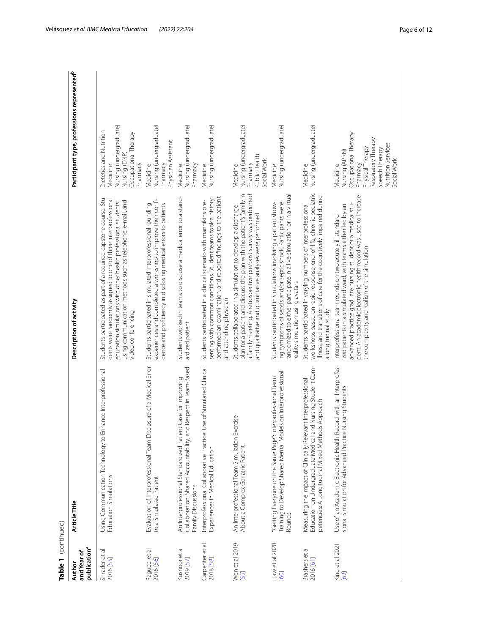| Table 1 (continued)                               |                                                                                                                                                                                     |                                                                                                                                                                                                                                                                                                                 |                                                                                                                                                                  |
|---------------------------------------------------|-------------------------------------------------------------------------------------------------------------------------------------------------------------------------------------|-----------------------------------------------------------------------------------------------------------------------------------------------------------------------------------------------------------------------------------------------------------------------------------------------------------------|------------------------------------------------------------------------------------------------------------------------------------------------------------------|
| publication <sup>a</sup><br>and Year of<br>Author | Article Title                                                                                                                                                                       | Description of activity                                                                                                                                                                                                                                                                                         | Participant type, professions represented <sup>b</sup>                                                                                                           |
| ᅙ<br>Shrader et<br>2016 [55]                      | Using Communication Technology to Enhance Interprofessional<br>Education Simulations                                                                                                | Students participated as part of a required capstone course. Stu-<br>dents were randomly assigned to one of three interprofessional<br>using communication methods such as telephone, e-mail, and<br>education simulations with other health professional students<br>video conferencing                        | Nursing (undergraduate)<br>Nursing (DNP)<br>Dietetics and Nutrition<br>Occupational Therapy<br>Pharmacy<br>Medicine                                              |
| Ragucci et al<br>2016 [56]                        | Evaluation of Interprofessional Team Disclosure of a Medical Error<br>to a Simulated Patient                                                                                        | experiences and completed a workshop to improve their confi-<br>Students participated in simulated interprofessional rounding<br>dence and proficiency in disclosing medical errors to patients                                                                                                                 | Nursing (undergraduate)<br>Physician Assistant<br>Pharmacy<br>Medicine                                                                                           |
| Kusnoor et al<br>2019 [57]                        | Respect in Team-Based<br>Case for Improving<br>An Interprofessional Standardized Patient<br>Collaboration, Shared Accountability, and<br>Family Discussions                         | Students worked in teams to disclose a medical error to a stand-<br>ardized patient                                                                                                                                                                                                                             | Nursing (undergraduate)<br>Pharmacy<br>Medicine                                                                                                                  |
| Carpenter et al<br>2018 [58]                      | Interprofessional Collaborative Practice: Use of Simulated Clinical<br>Experiences in Medical Education                                                                             | performed an examination, and reported findings to the patient<br>senting with common conditions. Student teams took a history,<br>Students participated in a clinical scenario with mannikins pre-<br>and attending physician                                                                                  | Nursing (undergraduate)<br>Medicine                                                                                                                              |
| Wen et al 2019<br>[59]                            | An Interprofessional Team Simulation Exercise<br>About a Complex Geriatric Patient                                                                                                  | plan for a patient and discuss the plan with the patient's family in<br>a family meeting. A retrospective pre/post survey was performed<br>Students collaborated in a simulation to develop a discharge<br>and qualitative and quantitative analyses were performed                                             | Nursing (undergraduate)<br>Public Health<br>Social Work<br>Pharmacy<br>Medicine                                                                                  |
| Liaw et al 2020<br>[60]                           | Training to Develop Shared Mental Models on Interprofessional<br>"Getting Everyone on the Same Page": Interprofessional Team<br>Rounds                                              | randomized to either participate in a live simulation or in a virtual<br>ing symptoms of sepsis and/or septic shock. Participants were<br>Students participated in simulations involving a patient show-<br>eality simulation using avatars                                                                     | Nursing (undergraduate)<br>Medicine                                                                                                                              |
| Brashers et al<br>2016 [61]                       | Education on Undergraduate Medical and Nursing Student Com-<br>Measuring the Impact of Clinically Relevant Interprofessional<br>Approach<br>petencies: A Longitudinal Mixed Methods | workshops based on rapid response, end-of-life, chronic pediatric<br>illness, and transitions of care for the cognitively impaired during<br>Students participated in varying numbers of interprofessional<br>a longitudinal study                                                                              | Nursing (undergraduate)<br>Medicine                                                                                                                              |
| King et al 2021<br>[62]                           | Use of an Academic Electronic Health Record with an Interprofes-<br>sional Simulation for Advanced Practice Nursing Students                                                        | dent. An academic electronic health record was used to increase<br>advanced practice graduate nursing student or a medical stu-<br>ized patients in a simulated ward, with teams either led by an<br>Interprofessional team rounds on two acutely ill standard-<br>the complexity and realism of the simulation | Occupational Therapy<br>Respiratory Therapy<br>Nutrition Services<br>Physical Therapy<br>Speech Therapy<br>Nursing (APRN)<br>Social Work<br>Pharmacy<br>Medicine |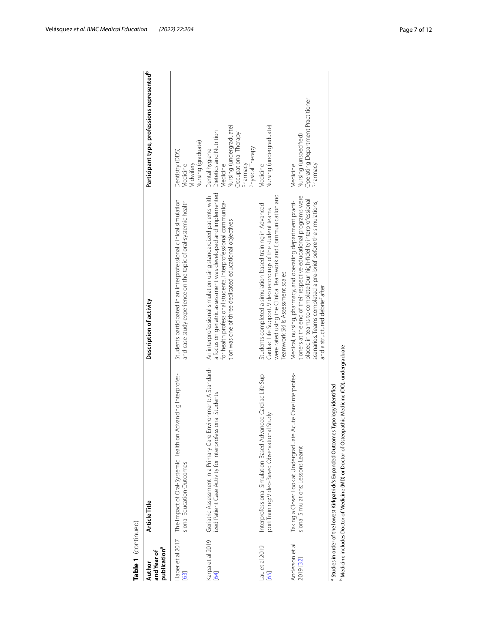| publication <sup>a</sup><br>and Year of<br>Author | Article Title                                                                                                                                                                                         | Description of activity                                                                                                                                                                                                                                                                                  | Participant type, professions represented <sup>b</sup>                                                                                   |
|---------------------------------------------------|-------------------------------------------------------------------------------------------------------------------------------------------------------------------------------------------------------|----------------------------------------------------------------------------------------------------------------------------------------------------------------------------------------------------------------------------------------------------------------------------------------------------------|------------------------------------------------------------------------------------------------------------------------------------------|
| Haber et al 2017<br>[63]                          | The Impact of Oral-Systemic Health on Advancing Interprofes-<br>sional Education Outcomes                                                                                                             | Students participated in an interprofessional clinical simulation<br>and case study experience on the topic of oral-systemic health                                                                                                                                                                      | Nursing (graduate)<br>Dentistry (DDS)<br>Midwifery<br>Medicine                                                                           |
| Karpa et al 2019<br>[64]                          | Geriatric Assessment in a Primary Care Environment: A Standard-<br>ized Patient Case Activity for Interprofessional Students                                                                          | a focus on geriatric assessment was developed and implemented<br>An interprofessional simulation using standardized patients with<br>for health professional students. Interprofessional communica-<br>tion was one of three dedicated educational objectives                                            | Nursing (undergraduate)<br>Dietetics and Nutrition<br>Occupational Therapy<br>Physical Therapy<br>Dental hygiene<br>Pharmacy<br>Medicine |
| Lau et al 2019<br>[65]                            | Interprofessional Simulation-Based Advanced Cardiac Life Sup-<br>al Study<br>port Training: Video-Based Observationa                                                                                  | were rated using the Clinical Teamwork and Communication and<br>Students completed a simulation-based training in Advanced<br>Cardiac Life Support. Video recordings of the student teams<br>Teamwork Skills Assessment scales                                                                           | Nursing (undergraduate)<br>Medicine                                                                                                      |
| Anderson et al<br>2019 [32]                       | Taking a Closer Look at Undergraduate Acute Care Interprofes-<br>sional Simulations: Lessons Learnt                                                                                                   | tioners at the end of their respective educational programs were<br>placed in teams to complete four high-fidelity interprofessional<br>Medical, nursing, pharmacy, and operating department practi-<br>scenarios. Teams completed a pre-brief before the simulations,<br>and a structured debrief after | Operating Department Practitioner<br>Nursing (unspecified)<br>Pharmacy<br>Medicine                                                       |
|                                                   | Medicine includes Doctor of Medicine (MD) or Doctor of Osteopathic Medicine (DO), undergraduate<br>Typology identified<br><sup>a</sup> Studies in order of the lowest Kirkpatrick's Expanded Outcomes |                                                                                                                                                                                                                                                                                                          |                                                                                                                                          |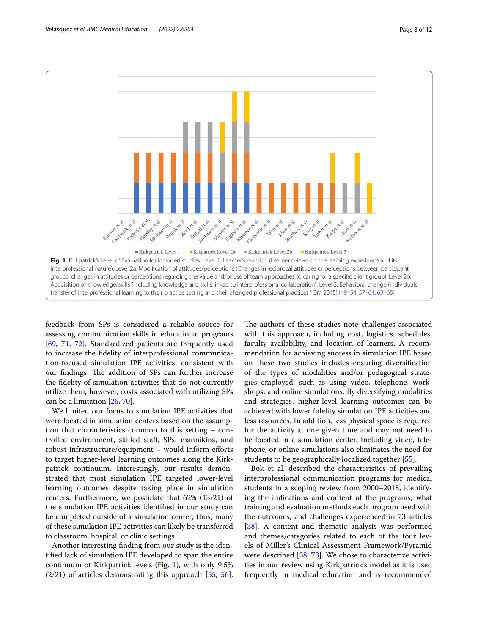

<span id="page-7-0"></span>feedback from SPs is considered a reliable source for assessing communication skills in educational programs [[69,](#page-11-3) [71](#page-11-4), [72\]](#page-11-24). Standardized patients are frequently used to increase the fdelity of interprofessional communication-focused simulation IPE activities, consistent with our findings. The addition of SPs can further increase the fdelity of simulation activities that do not currently utilize them; however, costs associated with utilizing SPs can be a limitation [[26,](#page-10-14) [70](#page-11-25)].

We limited our focus to simulation IPE activities that were located in simulation centers based on the assumption that characteristics common to this setting – controlled environment, skilled staf, SPs, mannikins, and robust infrastructure/equipment – would inform eforts to target higher-level learning outcomes along the Kirkpatrick continuum. Interestingly, our results demonstrated that most simulation IPE targeted lower-level learning outcomes despite taking place in simulation centers. Furthermore, we postulate that 62% (13/21) of the simulation IPE activities identifed in our study can be completed outside of a simulation center; thus, many of these simulation IPE activities can likely be transferred to classroom, hospital, or clinic settings.

Another interesting fnding from our study is the identifed lack of simulation IPE developed to span the entire continuum of Kirkpatrick levels (Fig. [1\)](#page-7-0), with only 9.5%  $(2/21)$  of articles demonstrating this approach  $[55, 56]$  $[55, 56]$  $[55, 56]$  $[55, 56]$ .

The authors of these studies note challenges associated with this approach, including cost, logistics, schedules, faculty availability, and location of learners. A recommendation for achieving success in simulation IPE based on these two studies includes ensuring diversifcation of the types of modalities and/or pedagogical strategies employed, such as using video, telephone, workshops, and online simulations. By diversifying modalities and strategies, higher-level learning outcomes can be achieved with lower fdelity simulation IPE activities and less resources. In addition, less physical space is required for the activity at one given time and may not need to be located in a simulation center. Including video, telephone, or online simulations also eliminates the need for students to be geographically localized together [\[55](#page-11-13)].

Bok et al. described the characteristics of prevailing interprofessional communication programs for medical students in a scoping review from 2000–2018, identifying the indications and content of the programs, what training and evaluation methods each program used with the outcomes, and challenges experienced in 73 articles [[38\]](#page-10-26). A content and thematic analysis was performed and themes/categories related to each of the four levels of Miller's Clinical Assessment Framework/Pyramid were described [[38,](#page-10-26) [73\]](#page-11-26). We chose to characterize activities in our review using Kirkpatrick's model as it is used frequently in medical education and is recommended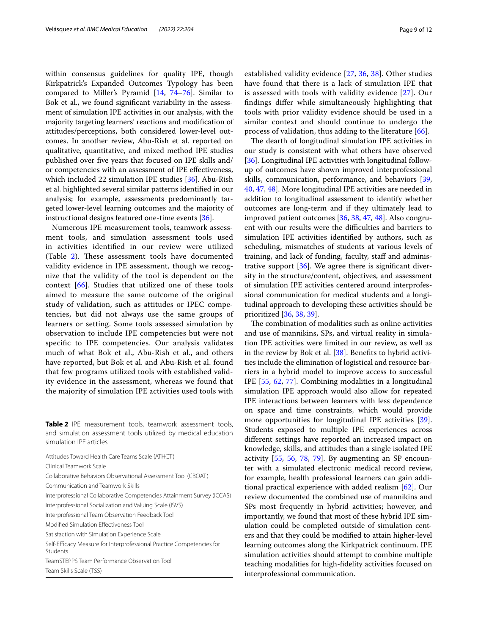within consensus guidelines for quality IPE, though Kirkpatrick's Expanded Outcomes Typology has been compared to Miller's Pyramid [[14](#page-10-23), [74–](#page-11-27)[76](#page-11-28)]. Similar to Bok et al., we found signifcant variability in the assessment of simulation IPE activities in our analysis, with the majority targeting learners' reactions and modifcation of attitudes/perceptions, both considered lower-level outcomes. In another review, Abu-Rish et al. reported on qualitative, quantitative, and mixed method IPE studies published over fve years that focused on IPE skills and/ or competencies with an assessment of IPE efectiveness, which included 22 simulation IPE studies [\[36](#page-10-24)]. Abu-Rish et al. highlighted several similar patterns identifed in our analysis; for example, assessments predominantly targeted lower-level learning outcomes and the majority of instructional designs featured one-time events [\[36](#page-10-24)].

Numerous IPE measurement tools, teamwork assessment tools, and simulation assessment tools used in activities identifed in our review were utilized (Table [2\)](#page-8-0). These assessment tools have documented validity evidence in IPE assessment, though we recognize that the validity of the tool is dependent on the context [[66](#page-11-0)]. Studies that utilized one of these tools aimed to measure the same outcome of the original study of validation, such as attitudes or IPEC competencies, but did not always use the same groups of learners or setting. Some tools assessed simulation by observation to include IPE competencies but were not specifc to IPE competencies. Our analysis validates much of what Bok et al., Abu-Rish et al., and others have reported, but Bok et al. and Abu-Rish et al. found that few programs utilized tools with established validity evidence in the assessment, whereas we found that the majority of simulation IPE activities used tools with

<span id="page-8-0"></span>**Table 2** IPE measurement tools, teamwork assessment tools, and simulation assessment tools utilized by medical education simulation IPE articles

| Attitudes Toward Health Care Teams Scale (ATHCT)                                  |
|-----------------------------------------------------------------------------------|
| Clinical Teamwork Scale                                                           |
| Collaborative Behaviors Observational Assessment Tool (CBOAT)                     |
| Communication and Teamwork Skills                                                 |
| Interprofessional Collaborative Competencies Attainment Survey (ICCAS)            |
| Interprofessional Socialization and Valuing Scale (ISVS)                          |
| Interprofessional Team Observation Feedback Tool                                  |
| Modified Simulation Effectiveness Tool                                            |
| Satisfaction with Simulation Experience Scale                                     |
| Self-Efficacy Measure for Interprofessional Practice Competencies for<br>Students |
| TeamSTEPPS Team Performance Observation Tool                                      |
| Team Skills Scale (TSS)                                                           |

established validity evidence [[27,](#page-10-34) [36](#page-10-24), [38](#page-10-26)]. Other studies have found that there is a lack of simulation IPE that is assessed with tools with validity evidence [[27](#page-10-34)]. Our fndings difer while simultaneously highlighting that tools with prior validity evidence should be used in a similar context and should continue to undergo the process of validation, thus adding to the literature [[66\]](#page-11-0).

The dearth of longitudinal simulation IPE activities in our study is consistent with what others have observed [[36\]](#page-10-24). Longitudinal IPE activities with longitudinal followup of outcomes have shown improved interprofessional skills, communication, performance, and behaviors [[39](#page-10-35), [40,](#page-10-27) [47](#page-11-5), [48](#page-11-6)]. More longitudinal IPE activities are needed in addition to longitudinal assessment to identify whether outcomes are long-term and if they ultimately lead to improved patient outcomes [\[36](#page-10-24), [38,](#page-10-26) [47](#page-11-5), [48\]](#page-11-6). Also congruent with our results were the difficulties and barriers to simulation IPE activities identifed by authors, such as scheduling, mismatches of students at various levels of training, and lack of funding, faculty, staff and administrative support  $[36]$ . We agree there is significant diversity in the structure/content, objectives, and assessment of simulation IPE activities centered around interprofessional communication for medical students and a longitudinal approach to developing these activities should be prioritized [[36,](#page-10-24) [38,](#page-10-26) [39](#page-10-35)].

The combination of modalities such as online activities and use of mannikins, SPs, and virtual reality in simulation IPE activities were limited in our review, as well as in the review by Bok et al. [\[38](#page-10-26)]. Benefts to hybrid activities include the elimination of logistical and resource barriers in a hybrid model to improve access to successful IPE [[55](#page-11-13), [62,](#page-11-20) [77](#page-11-29)]. Combining modalities in a longitudinal simulation IPE approach would also allow for repeated IPE interactions between learners with less dependence on space and time constraints, which would provide more opportunities for longitudinal IPE activities [\[39](#page-10-35)]. Students exposed to multiple IPE experiences across diferent settings have reported an increased impact on knowledge, skills, and attitudes than a single isolated IPE activity [[55,](#page-11-13) [56,](#page-11-14) [78,](#page-11-30) [79\]](#page-11-31). By augmenting an SP encounter with a simulated electronic medical record review, for example, health professional learners can gain additional practical experience with added realism [\[62](#page-11-20)]. Our review documented the combined use of mannikins and SPs most frequently in hybrid activities; however, and importantly, we found that most of these hybrid IPE simulation could be completed outside of simulation centers and that they could be modifed to attain higher-level learning outcomes along the Kirkpatrick continuum. IPE simulation activities should attempt to combine multiple teaching modalities for high-fdelity activities focused on interprofessional communication.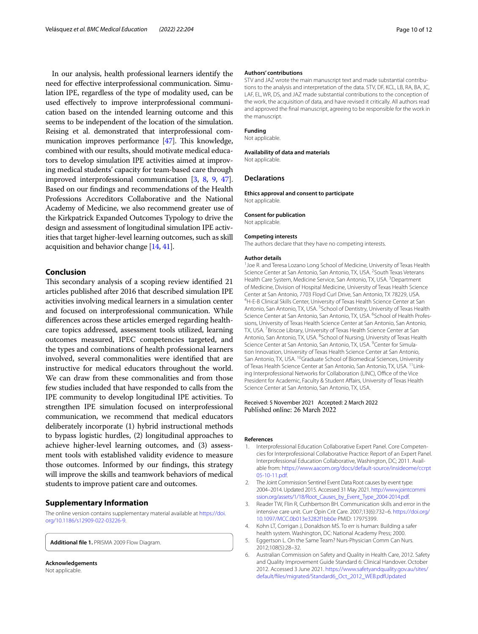In our analysis, health professional learners identify the need for efective interprofessional communication. Simulation IPE, regardless of the type of modality used, can be used efectively to improve interprofessional communication based on the intended learning outcome and this seems to be independent of the location of the simulation. Reising et al. demonstrated that interprofessional communication improves performance  $[47]$ . This knowledge, combined with our results, should motivate medical educators to develop simulation IPE activities aimed at improving medical students' capacity for team-based care through improved interprofessional communication [\[3,](#page-9-4) [8](#page-10-1), [9,](#page-10-2) [47](#page-11-5)]. Based on our fndings and recommendations of the Health Professions Accreditors Collaborative and the National Academy of Medicine, we also recommend greater use of the Kirkpatrick Expanded Outcomes Typology to drive the design and assessment of longitudinal simulation IPE activities that target higher-level learning outcomes, such as skill acquisition and behavior change [[14](#page-10-23), [41](#page-10-28)].

#### **Conclusion**

This secondary analysis of a scoping review identified 21 articles published after 2016 that described simulation IPE activities involving medical learners in a simulation center and focused on interprofessional communication. While diferences across these articles emerged regarding healthcare topics addressed, assessment tools utilized, learning outcomes measured, IPEC competencies targeted, and the types and combinations of health professional learners involved, several commonalities were identifed that are instructive for medical educators throughout the world. We can draw from these commonalities and from those few studies included that have responded to calls from the IPE community to develop longitudinal IPE activities. To strengthen IPE simulation focused on interprofessional communication, we recommend that medical educators deliberately incorporate (1) hybrid instructional methods to bypass logistic hurdles, (2) longitudinal approaches to achieve higher-level learning outcomes, and (3) assessment tools with established validity evidence to measure those outcomes. Informed by our fndings, this strategy will improve the skills and teamwork behaviors of medical students to improve patient care and outcomes.

#### **Supplementary Information**

The online version contains supplementary material available at [https://doi.](https://doi.org/10.1186/s12909-022-03226-9) [org/10.1186/s12909-022-03226-9](https://doi.org/10.1186/s12909-022-03226-9).

**Additional fle 1.** PRISMA 2009 Flow Diagram.

**Acknowledgements** Not applicable.

#### **Authors' contributions**

STV and JAZ wrote the main manuscript text and made substantial contributions to the analysis and interpretation of the data. STV, DF, KCL, LB, RA, BA, JC, LAF, EL, WR, DS, and JAZ made substantial contributions to the conception of the work, the acquisition of data, and have revised it critically. All authors read and approved the fnal manuscript, agreeing to be responsible for the work in the manuscript.

#### **Funding**

Not applicable.

#### **Availability of data and materials**

Not applicable.

#### **Declarations**

**Ethics approval and consent to participate** Not applicable.

#### **Consent for publication**

Not applicable. **Competing interests**

The authors declare that they have no competing interests.

#### **Author details**

<sup>1</sup> Joe R. and Teresa Lozano Long School of Medicine, University of Texas Health Science Center at San Antonio, San Antonio, TX, USA. <sup>2</sup> South Texas Veterans Health Care System, Medicine Service, San Antonio, TX, USA.<sup>3</sup> Department of Medicine, Division of Hospital Medicine, University of Texas Health Science Center at San Antonio, 7703 Floyd Curl Drive, San Antonio, TX 78229, USA. 4 H-E-B Clinical Skills Center, University of Texas Health Science Center at San Antonio, San Antonio, TX, USA.<sup>5</sup> School of Dentistry, University of Texas Health Science Center at San Antonio, San Antonio, TX, USA. <sup>6</sup>School of Health Professions, University of Texas Health Science Center at San Antonio, San Antonio, TX, USA. <sup>7</sup> Briscoe Library, University of Texas Health Science Center at San Antonio, San Antonio, TX, USA. <sup>8</sup>School of Nursing, University of Texas Health Science Center at San Antonio, San Antonio, TX, USA. <sup>9</sup>Center for Simulation Innovation, University of Texas Health Science Center at San Antonio, San Antonio, TX, USA. <sup>10</sup>Graduate School of Biomedical Sciences, University of Texas Health Science Center at San Antonio, San Antonio, TX, USA. <sup>11</sup>Linking Interprofessional Networks for Collaboration (LINC), Office of the Vice President for Academic, Faculty & Student Affairs, University of Texas Health Science Center at San Antonio, San Antonio, TX, USA.

# Received: 5 November 2021 Accepted: 2 March 2022

#### **References**

- <span id="page-9-0"></span>1. Interprofessional Education Collaborative Expert Panel. Core Competencies for Interprofessional Collaborative Practice: Report of an Expert Panel. Interprofessional Education Collaborative, Washington, DC; 2011. Available from: [https://www.aacom.org/docs/default-source/insideome/ccrpt](https://www.aacom.org/docs/default-source/insideome/ccrpt05-10-11.pdf) [05-10-11.pdf](https://www.aacom.org/docs/default-source/insideome/ccrpt05-10-11.pdf).
- <span id="page-9-2"></span>2. The Joint Commission Sentinel Event Data Root causes by event type: 2004–2014. Updated 2015. Accessed 31 May 2021. [http://www.jointcommi](http://www.jointcommission.org/assets/1/18/Root_Causes_by_Event_Type_2004-2014.pdf) [ssion.org/assets/1/18/Root\\_Causes\\_by\\_Event\\_Type\\_2004-2014.pdf](http://www.jointcommission.org/assets/1/18/Root_Causes_by_Event_Type_2004-2014.pdf).
- <span id="page-9-4"></span>3. Reader TW, Flin R, Cuthbertson BH. Communication skills and error in the intensive care unit. Curr Opin Crit Care. 2007;13(6):732–6. [https://doi.org/](https://doi.org/10.1097/MCC.0b013e3282f1bb0e) [10.1097/MCC.0b013e3282f1bb0e](https://doi.org/10.1097/MCC.0b013e3282f1bb0e) PMID: 17975399.
- 4. Kohn LT, Corrigan J, Donaldson MS. To err is human: Building a safer health system. Washington, DC: National Academy Press; 2000.
- <span id="page-9-1"></span>5. Eggertson L. On the Same Team? Nurs-Physician Comm Can Nurs. 2012;108(5):28–32.
- <span id="page-9-3"></span>6. Australian Commission on Safety and Quality in Health Care, 2012. Safety and Quality Improvement Guide Standard 6: Clinical Handover. October 2012. Accessed 3 June 2021. [https://www.safetyandquality.gov.au/sites/](https://www.safetyandquality.gov.au/sites/default/files/migrated/Standard6_Oct_2012_WEB.pdfUpdated) [default/fles/migrated/Standard6\\_Oct\\_2012\\_WEB.pdfUpdated](https://www.safetyandquality.gov.au/sites/default/files/migrated/Standard6_Oct_2012_WEB.pdfUpdated)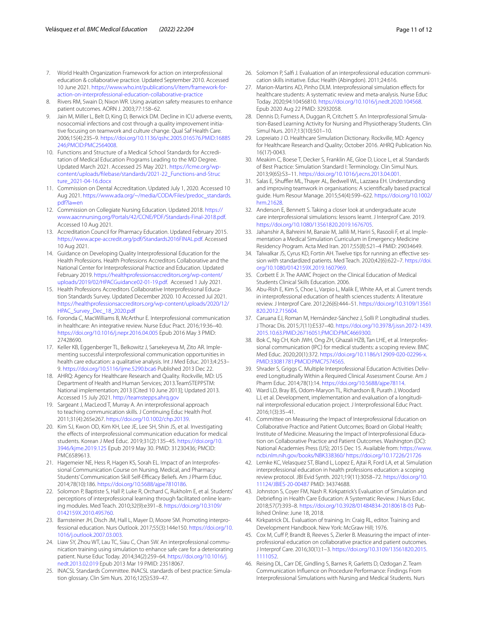- <span id="page-10-1"></span><span id="page-10-0"></span>8. Rivers RM, Swain D, Nixon WR. Using aviation safety measures to enhance patient outcomes. AORN J. 2003;77:158–62.
- <span id="page-10-2"></span>Jain M, Miller L, Belt D, King D, Berwick DM. Decline in ICU adverse events, nosocomial infections and cost through a quality improvement initiative focusing on teamwork and culture change. Qual Saf Health Care. 2006;15(4):235–9. [https://doi.org/10.1136/qshc.2005.016576.PMID:16885](https://doi.org/10.1136/qshc.2005.016576.PMID:16885246;PMCID:PMC2564008) [246;PMCID:PMC2564008.](https://doi.org/10.1136/qshc.2005.016576.PMID:16885246;PMCID:PMC2564008)
- <span id="page-10-3"></span>10. Functions and Structure of a Medical School Standards for Accreditation of Medical Education Programs Leading to the MD Degree. Updated March 2021. Accessed 25 May 2021. [https://lcme.org/wp](https://lcme.org/wp-content/uploads/filebase/standards/2021-22_Functions-and-Structure_2021-04-16.docx)[content/uploads/flebase/standards/2021-22\\_Functions-and-Struc](https://lcme.org/wp-content/uploads/filebase/standards/2021-22_Functions-and-Structure_2021-04-16.docx) [ture\\_2021-04-16.docx](https://lcme.org/wp-content/uploads/filebase/standards/2021-22_Functions-and-Structure_2021-04-16.docx)
- 11. Commission on Dental Accreditation. Updated July 1, 2020. Accessed 10 Aug 2021. [https://www.ada.org/~/media/CODA/Files/predoc\\_standards.](https://www.ada.org/~/media/CODA/Files/predoc_standards.pdf?la=en) [pdf?la](https://www.ada.org/~/media/CODA/Files/predoc_standards.pdf?la=en)=en
- 12. Commission on Collegiate Nursing Education. Updated 2018. [https://](https://www.aacnnursing.org/Portals/42/CCNE/PDF/Standards-Final-2018.pdf) [www.aacnnursing.org/Portals/42/CCNE/PDF/Standards-Final-2018.pdf.](https://www.aacnnursing.org/Portals/42/CCNE/PDF/Standards-Final-2018.pdf) Accessed 10 Aug 2021.
- 13. Accreditation Council for Pharmacy Education. Updated February 2015. <https://www.acpe-accredit.org/pdf/Standards2016FINAL.pdf>. Accessed 10 Aug 2021.
- <span id="page-10-23"></span>14. Guidance on Developing Quality Interprofessional Education for the Health Professions. Health Professions Accreditors Collaborative and the National Center for Interprofessional Practice and Education. Updated February 2019. [https://healthprofessionsaccreditors.org/wp-content/](https://healthprofessionsaccreditors.org/wp-content/uploads/2019/02/HPACGuidance02-01-19.pdf) [uploads/2019/02/HPACGuidance02-01-19.pdf](https://healthprofessionsaccreditors.org/wp-content/uploads/2019/02/HPACGuidance02-01-19.pdf). Accessed 1 July 2021.
- <span id="page-10-4"></span>15. Health Professions Accreditors Collaborative Interprofessional Education Standards Survey. Updated December 2020. 10 Accessed Jul 2021. [https://healthprofessionsaccreditors.org/wp-content/uploads/2020/12/](https://healthprofessionsaccreditors.org/wp-content/uploads/2020/12/HPAC_Survey_Dec_18_2020.pdf) [HPAC\\_Survey\\_Dec\\_18\\_2020.pdf](https://healthprofessionsaccreditors.org/wp-content/uploads/2020/12/HPAC_Survey_Dec_18_2020.pdf)
- <span id="page-10-5"></span>16. Foronda C, MacWilliams B, McArthur E. Interprofessional communication in healthcare: An integrative review. Nurse Educ Pract. 2016;19:36–40. <https://doi.org/10.1016/j.nepr.2016.04.005>Epub 2016 May 3 PMID: 27428690.
- <span id="page-10-6"></span>17. Keller KB, Eggenberger TL, Belkowitz J, Sarsekeyeva M, Zito AR. Implementing successful interprofessional communication opportunities in health care education: a qualitative analysis. Int J Med Educ. 2013;4:253– 9.<https://doi.org/10.5116/ijme.5290.bca6>Published 2013 Dec 22.
- 18. AHRQ: Agency for Healthcare Research and Quality. Rockville, MD: US Department of Health and Human Services; 2013.TeamSTEPPSTM: National implementation; 2013 [Cited 10 June 2013]; Updated 2013. Accessed 15 July 2021. <http://teamstepps.ahrq.gov>
- <span id="page-10-7"></span>19. Sargeant J, MacLeod T, Murray A. An interprofessional approach to teaching communication skills. J Continuing Educ Health Prof. 2011;31(4):265e267.<https://doi.org/10.1002/chp.20139>.
- <span id="page-10-8"></span>20. Kim SJ, Kwon OD, Kim KH, Lee JE, Lee SH, Shin JS, et al. Investigating the effects of interprofessional communication education for medical students. Korean J Med Educ. 2019;31(2):135–45. [https://doi.org/10.](https://doi.org/10.3946/kjme.2019.125) [3946/kjme.2019.125](https://doi.org/10.3946/kjme.2019.125) Epub 2019 May 30. PMID: 31230436; PMCID: PMC6589613.
- <span id="page-10-9"></span>21. Hagemeier NE, Hess R, Hagen KS, Sorah EL. Impact of an Interprofessional Communication Course on Nursing, Medical, and Pharmacy Students' Communication Skill Self-Efficacy Beliefs. Am J Pharm Educ. 2014;78(10):186. [https://doi.org/10.5688/ajpe7810186.](https://doi.org/10.5688/ajpe7810186)
- <span id="page-10-10"></span>22. Solomon P, Baptiste S, Hall P, Luke R, Orchard C, Rukholm E, et al. Students' perceptions of interprofessional learning through facilitated online learning modules. Med Teach. 2010;32(9):e391–8. [https://doi.org/10.3109/](https://doi.org/10.3109/0142159X.2010.495760) [0142159X.2010.495760.](https://doi.org/10.3109/0142159X.2010.495760)
- <span id="page-10-11"></span>23. Barnsteiner JH, Disch JM, Hall L, Mayer D, Moore SM. Promoting interprofessional education. Nurs Outlook. 2017;55(3):144e150. [https://doi.org/10.](https://doi.org/10.1016/j.outlook.2007.03.003) [1016/j.outlook.2007.03.003.](https://doi.org/10.1016/j.outlook.2007.03.003)
- <span id="page-10-12"></span>24. Liaw SY, Zhou WT, Lau TC, Siau C, Chan SW. An interprofessional communication training using simulation to enhance safe care for a deteriorating patient. Nurse Educ Today. 2014;34(2):259–64. [https://doi.org/10.1016/j.](https://doi.org/10.1016/j.nedt.2013.02.019) [nedt.2013.02.019](https://doi.org/10.1016/j.nedt.2013.02.019) Epub 2013 Mar 19 PMID: 23518067.
- <span id="page-10-13"></span>25. INACSL Standards Committee. INACSL standards of best practice: Simulation glossary. Clin Sim Nurs. 2016;12(S):S39–47.
- <span id="page-10-14"></span>26. Solomon P, Salf J. Evaluation of an interprofessional education communication skills initiative. Educ Health (Abingdon). 2011;24:616.
- <span id="page-10-34"></span>27. Marion-Martins AD, Pinho DLM. Interprofessional simulation efects for healthcare students: A systematic review and meta-analysis. Nurse Educ Today. 2020;94:10456810. [https://doi.org/10.1016/j.nedt.2020.104568.](https://doi.org/10.1016/j.nedt.2020.104568) Epub 2020 Aug 22 PMID: 32932058.
- <span id="page-10-15"></span>28. Dennis D, Furness A, Duggan R, Critchett S. An Interprofessional Simulation-Based Learning Activity for Nursing and Physiotherapy Students. Clin Simul Nurs. 2017;13(10):501–10.
- <span id="page-10-16"></span>29. Lopreiato J O. Healthcare Simulation Dictionary. Rockville, MD: Agency for Healthcare Research and Quality; October 2016. AHRQ Publication No. 16(17)-0043.
- <span id="page-10-17"></span>30. Meakim C, Boese T, Decker S, Franklin AE, Gloe D, Lioce L, et al. Standards of Best Practice: Simulation Standard I: Terminology. Clin Simul Nurs. 2013;9(6S):S3–11. <https://doi.org/10.1016/j.ecns.2013.04.001>.
- <span id="page-10-18"></span>31. Salas E, Shuffler ML, Thayer AL, Bedwell WL, Lazzaea EH. Understanding and improving teamwork in organisations: A scientifcally based practical guide. Hum Resour Manage. 2015;54(4):599–622. [https://doi.org/10.1002/](https://doi.org/10.1002/hrm.21628) [hrm.21628.](https://doi.org/10.1002/hrm.21628)
- <span id="page-10-19"></span>32. Anderson E, Bennett S. Taking a closer look at undergraduate acute care interprofessional simulations: lessons learnt. J Interprof Care. 2019. [https://doi.org/10.1080/13561820.2019.1676705.](https://doi.org/10.1080/13561820.2019.1676705)
- <span id="page-10-20"></span>33. Jahanshir A, Bahreini M, Banaie M, Jallili M, Hariri S, Rasooli F, et al. Implementation a Medical Simulation Curriculum in Emergency Medicine Residency Program. Acta Med Iran. 2017;55(8):521–4 PMID: 29034649.
- <span id="page-10-21"></span>34. Talwalkar JS, Cyrus KD, Fortin AH. Twelve tips for running an efective session with standardized patients. Med Teach. 2020;42(6):622–7. [https://doi.](https://doi.org/10.1080/0142159X.2019.1607969) [org/10.1080/0142159X.2019.1607969](https://doi.org/10.1080/0142159X.2019.1607969).
- <span id="page-10-22"></span>35. Corbett E Jr. The AAMC Project on the Clinical Education of Medical Students Clinical Skills Education. 2006.
- <span id="page-10-24"></span>36. Abu-Rish E, Kim S, Choe L, Varpio L, Malik E, White AA, et al. Current trends in interprofessional education of health sciences students: A literature review. J Interprof Care. 2012;26(6):444–51. [https://doi.org/10.3109/13561](https://doi.org/10.3109/13561820.2012.715604) [820.2012.715604.](https://doi.org/10.3109/13561820.2012.715604)
- <span id="page-10-25"></span>37. Caruana EJ, Roman M, Hernández-Sánchez J, Solli P. Longitudinal studies. J Thorac Dis. 2015;7(11):E537–40. [https://doi.org/10.3978/j.issn.2072-1439.](https://doi.org/10.3978/j.issn.2072-1439.2015.10.63.PMID:26716051;PMCID:PMC4669300) [2015.10.63.PMID:26716051;PMCID:PMC4669300.](https://doi.org/10.3978/j.issn.2072-1439.2015.10.63.PMID:26716051;PMCID:PMC4669300)
- <span id="page-10-26"></span>38. Bok C, Ng CH, Koh JWH, Ong ZH, Ghazali HZB, Tan LHE, et al. Interprofessional communication (IPC) for medical students: a scoping review. BMC Med Educ. 2020;20(1):372. [https://doi.org/10.1186/s12909-020-02296-x.](https://doi.org/10.1186/s12909-020-02296-x.PMID:33081781;PMCID:PMC7574565) [PMID:33081781;PMCID:PMC7574565.](https://doi.org/10.1186/s12909-020-02296-x.PMID:33081781;PMCID:PMC7574565)
- <span id="page-10-35"></span>39. Shrader S, Griggs C. Multiple Interprofessional Education Activities Delivered Longitudinally Within a Required Clinical Assessment Course. Am J Pharm Educ. 2014;78(1):14.<https://doi.org/10.5688/ajpe78114>.
- <span id="page-10-27"></span>40. Ward LD, Bray BS, Odom-Maryon TL, Richardson B, Purath J, Woodard LJ, et al. Development, implementation and evaluation of a longitudinal interprofessional education project. J Interprofessional Educ Pract. 2016;1(3):35–41.
- <span id="page-10-28"></span>41. Committee on Measuring the Impact of Interprofessional Education on Collaborative Practice and Patient Outcomes; Board on Global Health; Institute of Medicine. Measuring the Impact of Interprofessional Education on Collaborative Practice and Patient Outcomes. Washington (DC): National Academies Press (US); 2015 Dec 15. Available from: [https://www.](https://www.ncbi.nlm.nih.gov/books/NBK338360/) [ncbi.nlm.nih.gov/books/NBK338360/](https://www.ncbi.nlm.nih.gov/books/NBK338360/) <https://doi.org/10.17226/21726>
- <span id="page-10-29"></span>42. Lemke KC, Velasquez ST, Bland L, Lopez E, Ajtai R, Ford LA, et al. Simulation interprofessional education in health professions education: a scoping review protocol. JBI Evid Synth. 2021;19(11):3058–72. [https://doi.org/10.](https://doi.org/10.11124/JBIES-20-00487) [11124/JBIES-20-00487](https://doi.org/10.11124/JBIES-20-00487) PMID: 34374688.
- <span id="page-10-30"></span>43. Johnston S, Coyer FM, Nash R. Kirkpatrick's Evaluation of Simulation and Debriefng in Health Care Education: A Systematic Review. J Nurs Educ. 2018;57(7):393–8.<https://doi.org/10.3928/01484834-20180618-03> Published Online: June 18, 2018.
- <span id="page-10-31"></span>44. Kirkpatrick DL. Evaluation of training. In: Craig RL, editor. Training and Development Handbook. New York: McGraw Hill; 1976.
- <span id="page-10-32"></span>45. Cox M, Cuff P, Brandt B, Reeves S, Zierler B. Measuring the impact of interprofessional education on collaborative practice and patient outcomes. J Interprof Care. 2016;30(1):1–3. [https://doi.org/10.3109/13561820.2015.](https://doi.org/10.3109/13561820.2015.1111052) [1111052](https://doi.org/10.3109/13561820.2015.1111052).
- <span id="page-10-33"></span>46. Reising DL, Carr DE, Gindling S, Barnes R, Garletts D, Ozdogan Z. Team Communication Infuence on Procedure Performance: Findings From Interprofessional Simulations with Nursing and Medical Students. Nurs